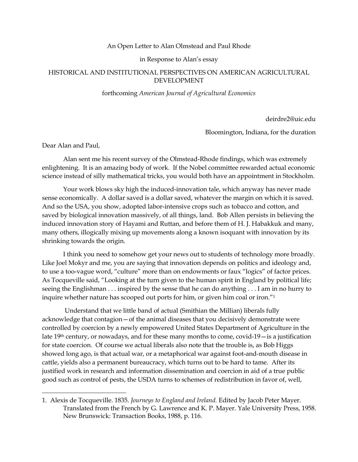## An Open Letter to Alan Olmstead and Paul Rhode

in Response to Alan's essay

## HISTORICAL AND INSTITUTIONAL PERSPECTIVES ON AMERICAN AGRICULTURAL DEVELOPMENT

## forthcoming *American Journal of Agricultural Economics*

deirdre2@uic.edu

Bloomington, Indiana, for the duration

Dear Alan and Paul,

Alan sent me his recent survey of the Olmstead-Rhode findings, which was extremely enlightening. It is an amazing body of work. If the Nobel committee rewarded actual economic science instead of silly mathematical tricks, you would both have an appointment in Stockholm.

Your work blows sky high the induced-innovation tale, which anyway has never made sense economically. A dollar saved is a dollar saved, whatever the margin on which it is saved. And so the USA, you show, adopted labor-intensive crops such as tobacco and cotton, and saved by biological innovation massively, of all things, land. Bob Allen persists in believing the induced innovation story of Hayami and Ruttan, and before them of H. J. Habakkuk and many, many others, illogically mixing up movements along a known isoquant with innovation by its shrinking towards the origin.

I think you need to somehow get your news out to students of technology more broadly. Like Joel Mokyr and me, you are saying that innovation depends on politics and ideology and, to use a too-vague word, "culture" more than on endowments or faux "logics" of factor prices. As Tocqueville said, "Looking at the turn given to the human spirit in England by political life; seeing the Englishman . . . inspired by the sense that he can do anything . . . I am in no hurry to inquire whether nature has scooped out ports for him, or given him coal or iron."<sup>1</sup>

Understand that we little band of actual (Smithian the Millian) liberals fully acknowledge that contagion—of the animal diseases that you decisively demonstrate were controlled by coercion by a newly empowered United States Department of Agriculture in the late  $19<sup>th</sup>$  century, or nowadays, and for these many months to come, covid- $19$  - is a justification for state coercion. Of course we actual liberals also note that the trouble is, as Bob Higgs showed long ago, is that actual war, or a metaphorical war against foot-and-mouth disease in cattle, yields also a permanent bureaucracy, which turns out to be hard to tame. After its justified work in research and information dissemination and coercion in aid of a true public good such as control of pests, the USDA turns to schemes of redistribution in favor of, well,

<sup>1.</sup> Alexis de Tocqueville. 1835. *Journeys to England and Ireland.* Edited by Jacob Peter Mayer. Translated from the French by G. Lawrence and K. P. Mayer. Yale University Press, 1958. New Brunswick: Transaction Books, 1988, p. 116.